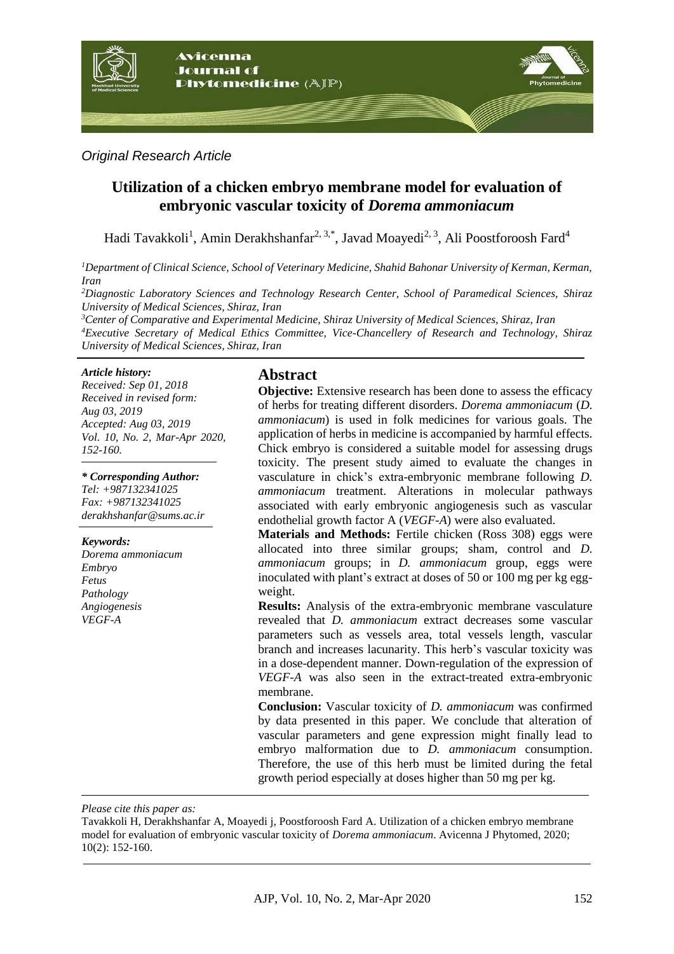

### *Original Research Article*

# **Utilization of a chicken embryo membrane model for evaluation of embryonic vascular toxicity of** *Dorema ammoniacum*

Hadi Tavakkoli<sup>1</sup>, Amin Derakhshanfar<sup>2, 3,\*</sup>, Javad Moayedi<sup>2, 3</sup>, Ali Poostforoosh Fard<sup>4</sup>

*<sup>1</sup>Department of Clinical Science, School of Veterinary Medicine, Shahid Bahonar University of Kerman, Kerman, Iran*

*<sup>2</sup>Diagnostic Laboratory Sciences and Technology Research Center, School of Paramedical Sciences, Shiraz University of Medical Sciences, Shiraz, Iran*

*<sup>3</sup>Center of Comparative and Experimental Medicine, Shiraz University of Medical Sciences, Shiraz, Iran <sup>4</sup>Executive Secretary of Medical Ethics Committee, Vice-Chancellery of Research and Technology, Shiraz University of Medical Sciences, Shiraz, Iran*

#### *Article history:*

*Received: Sep 01, 2018 Received in revised form: Aug 03, 2019 Accepted: Aug 03, 2019 Vol. 10, No. 2, Mar-Apr 2020, 152-160.*

*\* Corresponding Author:*

*Tel: +987132341025 Fax: +987132341025 derakhshanfar@sums.ac.ir*

#### *Keywords:*

*Dorema ammoniacum Embryo Fetus Pathology Angiogenesis VEGF-A*

# **Abstract**

**Objective:** Extensive research has been done to assess the efficacy of herbs for treating different disorders. *Dorema ammoniacum* (*D. ammoniacum*) is used in folk medicines for various goals. The application of herbs in medicine is accompanied by harmful effects. Chick embryo is considered a suitable model for assessing drugs toxicity. The present study aimed to evaluate the changes in vasculature in chick's extra-embryonic membrane following *D. ammoniacum* treatment. Alterations in molecular pathways associated with early embryonic angiogenesis such as vascular endothelial growth factor A (*VEGF-A*) were also evaluated.

**Materials and Methods:** Fertile chicken (Ross 308) eggs were allocated into three similar groups; sham, control and *D. ammoniacum* groups; in *D. ammoniacum* group, eggs were inoculated with plant's extract at doses of 50 or 100 mg per kg eggweight.

**Results:** Analysis of the extra-embryonic membrane vasculature revealed that *D. ammoniacum* extract decreases some vascular parameters such as vessels area, total vessels length, vascular branch and increases lacunarity. This herb's vascular toxicity was in a dose-dependent manner. Down-regulation of the expression of *VEGF-A* was also seen in the extract-treated extra-embryonic membrane.

**Conclusion:** Vascular toxicity of *D. ammoniacum* was confirmed by data presented in this paper. We conclude that alteration of vascular parameters and gene expression might finally lead to embryo malformation due to *D. ammoniacum* consumption. Therefore, the use of this herb must be limited during the fetal growth period especially at doses higher than 50 mg per kg.

*Please cite this paper as:* 

Tavakkoli H, Derakhshanfar A, Moayedi j, Poostforoosh Fard A. Utilization of a chicken embryo membrane model for evaluation of embryonic vascular toxicity of *Dorema ammoniacum*. Avicenna J Phytomed, 2020; 10(2): 152-160.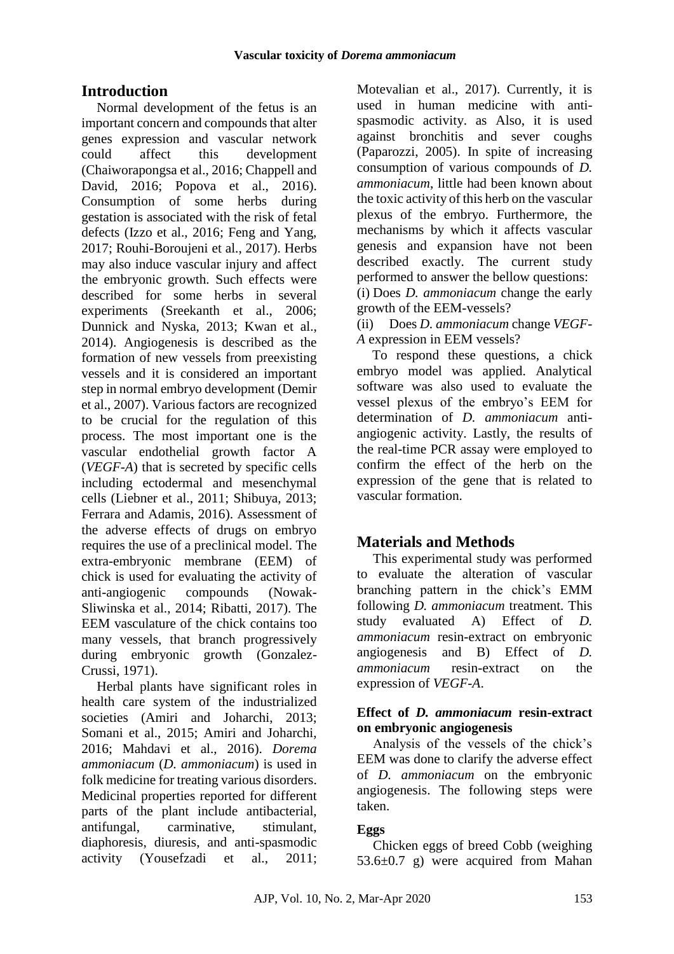# **Introduction**

Normal development of the fetus is an important concern and compounds that alter genes expression and vascular network could affect this development [\(Chaiworapongsa et al., 2016;](#page-7-0) [Chappell and](#page-7-1)  [David, 2016;](#page-7-1) [Popova et al., 2016\)](#page-8-0). Consumption of some herbs during gestation is associated with the risk of fetal defects [\(Izzo et al., 2016;](#page-7-2) [Feng and Yang,](#page-7-3)  [2017;](#page-7-3) [Rouhi-Boroujeni et al., 2017\)](#page-8-1). Herbs may also induce vascular injury and affect the embryonic growth. Such effects were described for some herbs in several experiments [\(Sreekanth et al., 2006;](#page-8-2) [Dunnick and Nyska, 2013;](#page-7-4) [Kwan et al.,](#page-7-5)  [2014\)](#page-7-5). Angiogenesis is described as the formation of new vessels from preexisting vessels and it is considered an important step in normal embryo development [\(Demir](#page-7-6)  [et al., 2007\)](#page-7-6). Various factors are recognized to be crucial for the regulation of this process. The most important one is the vascular endothelial growth factor A (*VEGF-A*) that is secreted by specific cells including ectodermal and mesenchymal cells [\(Liebner et al., 2011;](#page-7-7) [Shibuya, 2013;](#page-8-3) [Ferrara and Adamis, 2016\)](#page-7-8). Assessment of the adverse effects of drugs on embryo requires the use of a preclinical model. The extra-embryonic membrane (EEM) of chick is used for evaluating the activity of anti-angiogenic compounds [\(Nowak-](#page-7-9)[Sliwinska et al., 2014;](#page-7-9) [Ribatti, 2017\)](#page-8-4). The EEM vasculature of the chick contains too many vessels, that branch progressively during embryonic growth [\(Gonzalez-](#page-7-10)[Crussi, 1971\)](#page-7-10).

Herbal plants have significant roles in health care system of the industrialized societies [\(Amiri and Joharchi, 2013;](#page-6-0) [Somani et al., 2015;](#page-8-5) [Amiri and Joharchi,](#page-6-1)  [2016;](#page-6-1) [Mahdavi et al., 2016\)](#page-7-11). *Dorema ammoniacum* (*D. ammoniacum*) is used in folk medicine for treating various disorders. Medicinal properties reported for different parts of the plant include antibacterial, antifungal, carminative, stimulant, diaphoresis, diuresis, and anti-spasmodic activity [\(Yousefzadi et al., 2011;](#page-8-6) [Motevalian et al., 2017\)](#page-7-12). Currently, it is used in human medicine with antispasmodic activity. as Also, it is used against bronchitis and sever coughs [\(Paparozzi, 2005\)](#page-8-7). In spite of increasing consumption of various compounds of *D. ammoniacum*, little had been known about the toxic activity of this herb on the vascular plexus of the embryo. Furthermore, the mechanisms by which it affects vascular genesis and expansion have not been described exactly. The current study performed to answer the bellow questions: (i) Does *D. ammoniacum* change the early growth of the EEM-vessels?

(ii) Does *D. ammoniacum* change *VEGF-A* expression in EEM vessels?

To respond these questions, a chick embryo model was applied. Analytical software was also used to evaluate the vessel plexus of the embryo's EEM for determination of *D. ammoniacum* antiangiogenic activity. Lastly, the results of the real-time PCR assay were employed to confirm the effect of the herb on the expression of the gene that is related to vascular formation.

# **Materials and Methods**

This experimental study was performed to evaluate the alteration of vascular branching pattern in the chick's EMM following *D. ammoniacum* treatment. This study evaluated A) Effect of *D. ammoniacum* resin-extract on embryonic angiogenesis and B) Effect of *D. ammoniacum* resin-extract on the expression of *VEGF-A*.

### **Effect of** *D. ammoniacum* **resin-extract on embryonic angiogenesis**

Analysis of the vessels of the chick's EEM was done to clarify the adverse effect of *D. ammoniacum* on the embryonic angiogenesis. The following steps were taken.

## **Eggs**

Chicken eggs of breed Cobb (weighing  $53.6\pm0.7$  g) were acquired from Mahan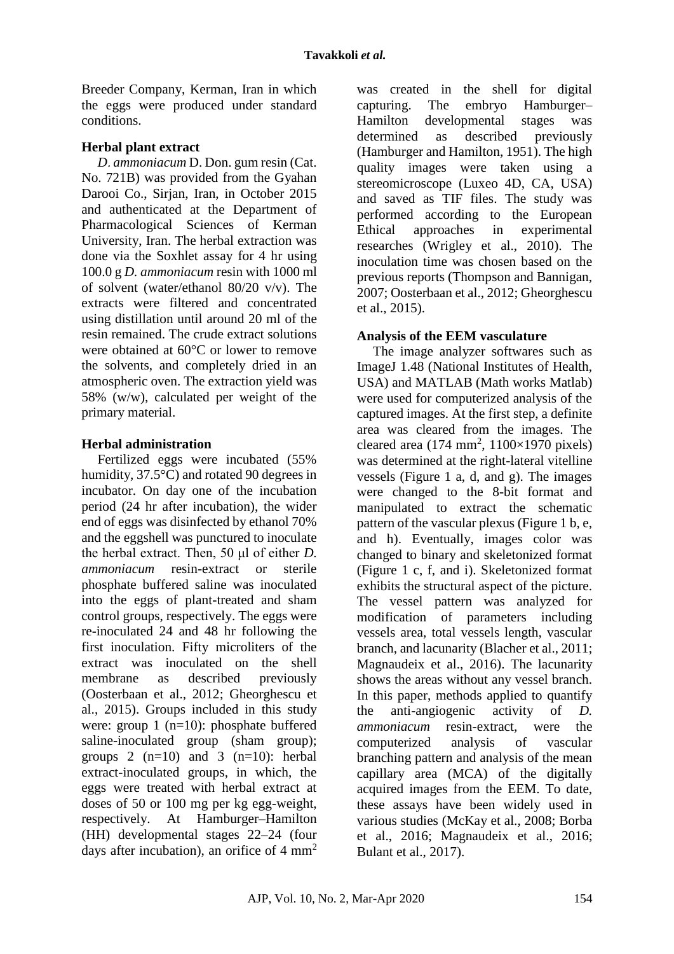Breeder Company, Kerman, Iran in which the eggs were produced under standard conditions.

## **Herbal plant extract**

*D. ammoniacum* D. Don. gum resin (Cat. No. 721B) was provided from the Gyahan Darooi Co., Sirjan, Iran, in October 2015 and authenticated at the Department of Pharmacological Sciences of Kerman University, Iran. The herbal extraction was done via the Soxhlet assay for 4 hr using 100.0 g *D. ammoniacum* resin with 1000 ml of solvent (water/ethanol 80/20 v/v). The extracts were filtered and concentrated using distillation until around 20 ml of the resin remained. The crude extract solutions were obtained at 60°C or lower to remove the solvents, and completely dried in an atmospheric oven. The extraction yield was 58% (w/w), calculated per weight of the primary material.

## **Herbal administration**

Fertilized eggs were incubated (55% humidity, 37.5°C) and rotated 90 degrees in incubator. On day one of the incubation period (24 hr after incubation), the wider end of eggs was disinfected by ethanol 70% and the eggshell was punctured to inoculate the herbal extract. Then, 50 μl of either *D. ammoniacum* resin-extract or sterile phosphate buffered saline was inoculated into the eggs of plant-treated and sham control groups, respectively. The eggs were re-inoculated 24 and 48 hr following the first inoculation. Fifty microliters of the extract was inoculated on the shell membrane as described previously [\(Oosterbaan et al., 2012;](#page-7-13) [Gheorghescu et](#page-7-14)  [al., 2015\)](#page-7-14). Groups included in this study were: group 1 (n=10): phosphate buffered saline-inoculated group (sham group); groups 2  $(n=10)$  and 3  $(n=10)$ : herbal extract-inoculated groups, in which, the eggs were treated with herbal extract at doses of 50 or 100 mg per kg egg-weight, respectively. At Hamburger–Hamilton (HH) developmental stages 22–24 (four days after incubation), an orifice of  $4 \text{ mm}^2$ 

was created in the shell for digital capturing. The embryo Hamburger– Hamilton developmental stages was determined as described previously [\(Hamburger and Hamilton, 1951\)](#page-7-15). The high quality images were taken using a stereomicroscope (Luxeo 4D, CA, USA) and saved as TIF files. The study was performed according to the European Ethical approaches in experimental researches [\(Wrigley et al., 2010\)](#page-8-8). The inoculation time was chosen based on the previous reports [\(Thompson and Bannigan,](#page-8-9)  [2007;](#page-8-9) [Oosterbaan et al., 2012;](#page-7-13) [Gheorghescu](#page-7-14)  [et al., 2015\)](#page-7-14).

# **Analysis of the EEM vasculature**

The image analyzer softwares such as ImageJ 1.48 (National Institutes of Health, USA) and MATLAB (Math works Matlab) were used for computerized analysis of the captured images. At the first step, a definite area was cleared from the images. The cleared area  $(174 \text{ mm}^2, 1100 \times 1970 \text{ pixels})$ was determined at the right-lateral vitelline vessels (Figure 1 a, d, and g). The images were changed to the 8-bit format and manipulated to extract the schematic pattern of the vascular plexus (Figure 1 b, e, and h). Eventually, images color was changed to binary and skeletonized format (Figure 1 c, f, and i). Skeletonized format exhibits the structural aspect of the picture. The vessel pattern was analyzed for modification of parameters including vessels area, total vessels length, vascular branch, and lacunarity [\(Blacher et al., 2011;](#page-6-2) [Magnaudeix et al., 2016\)](#page-7-16). The lacunarity shows the areas without any vessel branch. In this paper, methods applied to quantify the anti-angiogenic activity of *D. ammoniacum* resin-extract, were the computerized analysis of vascular branching pattern and analysis of the mean capillary area (MCA) of the digitally acquired images from the EEM. To date, these assays have been widely used in various studies [\(McKay et al., 2008;](#page-7-17) [Borba](#page-6-3)  [et al., 2016;](#page-6-3) [Magnaudeix et al., 2016;](#page-7-16) [Bulant et al., 2017\)](#page-6-4).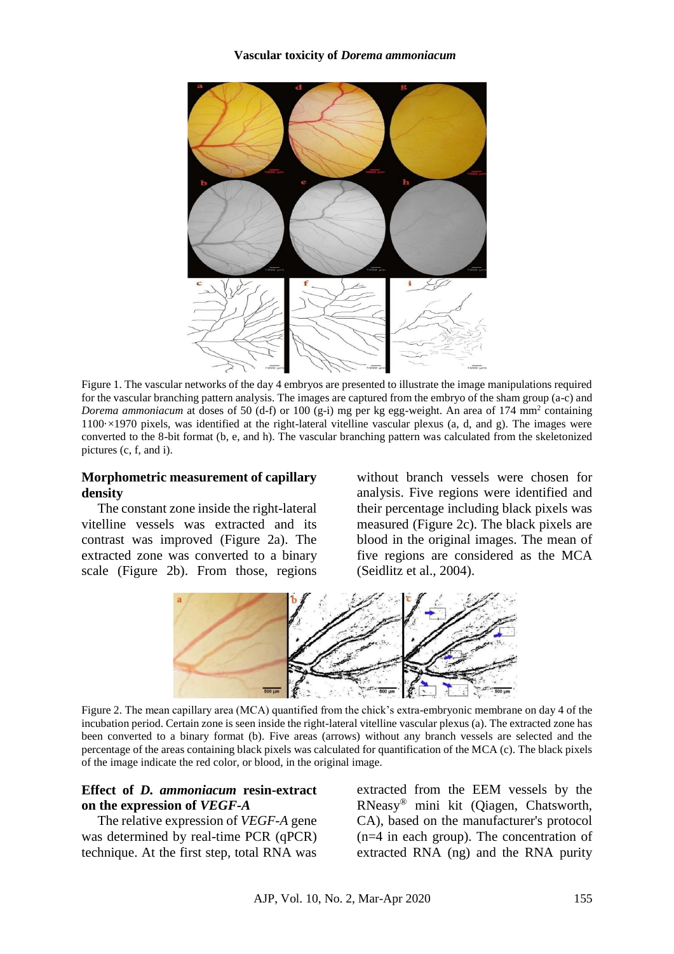

Figure 1. The vascular networks of the day 4 embryos are presented to illustrate the image manipulations required for the vascular branching pattern analysis. The images are captured from the embryo of the sham group (a-c) and *Dorema ammoniacum* at doses of 50 (d-f) or 100 (g-i) mg per kg egg-weight. An area of 174 mm<sup>2</sup> containing 1100·×1970 pixels, was identified at the right-lateral vitelline vascular plexus (a, d, and g). The images were converted to the 8-bit format (b, e, and h). The vascular branching pattern was calculated from the skeletonized pictures (c, f, and i).

### **Morphometric measurement of capillary density**

The constant zone inside the right-lateral vitelline vessels was extracted and its contrast was improved (Figure 2a). The extracted zone was converted to a binary scale (Figure 2b). From those, regions without branch vessels were chosen for analysis. Five regions were identified and their percentage including black pixels was measured (Figure 2c). The black pixels are blood in the original images. The mean of five regions are considered as the MCA [\(Seidlitz et al., 2004\)](#page-8-10).



Figure 2. The mean capillary area (MCA) quantified from the chick's extra-embryonic membrane on day 4 of the incubation period. Certain zone is seen inside the right-lateral vitelline vascular plexus (a). The extracted zone has been converted to a binary format (b). Five areas (arrows) without any branch vessels are selected and the percentage of the areas containing black pixels was calculated for quantification of the MCA (c). The black pixels of the image indicate the red color, or blood, in the original image.

### **Effect of** *D. ammoniacum* **resin-extract on the expression of** *VEGF-A*

The relative expression of *VEGF-A* gene was determined by real-time PCR (qPCR) technique. At the first step, total RNA was extracted from the EEM vessels by the RNeasy® mini kit (Qiagen, Chatsworth, CA), based on the manufacturer's protocol (n=4 in each group). The concentration of extracted RNA (ng) and the RNA purity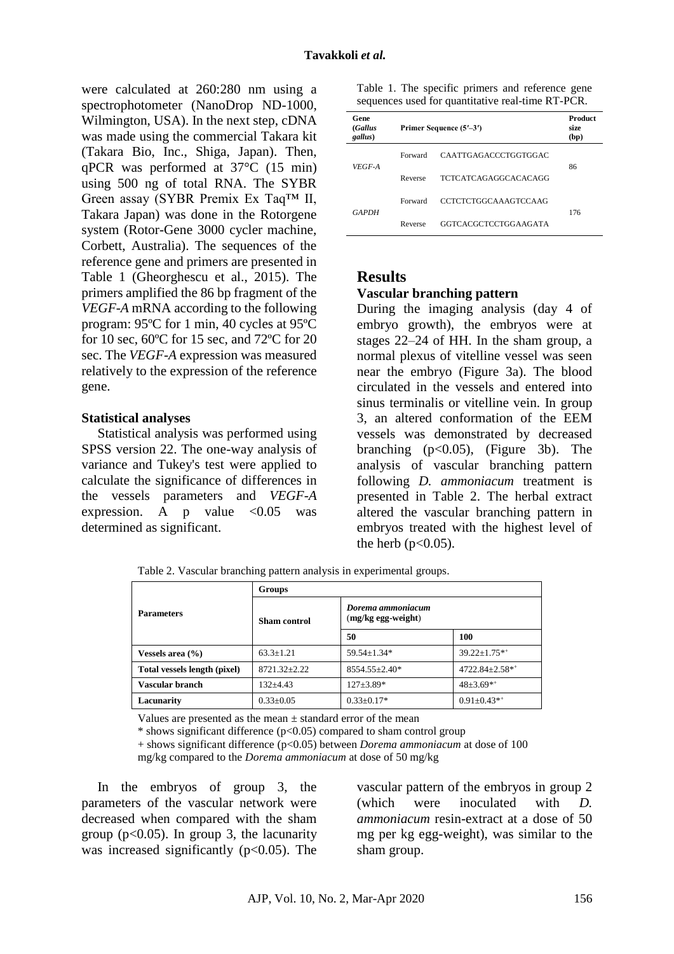were calculated at 260:280 nm using a spectrophotometer (NanoDrop ND-1000, Wilmington, USA). In the next step, cDNA was made using the commercial Takara kit (Takara Bio, Inc., Shiga, Japan). Then, qPCR was performed at 37°C (15 min) using 500 ng of total RNA. The SYBR Green assay (SYBR Premix Ex Taq™ II, Takara Japan) was done in the Rotorgene system (Rotor-Gene 3000 cycler machine, Corbett, Australia). The sequences of the reference gene and primers are presented in Table 1 [\(Gheorghescu et al., 2015\)](#page-7-14). The primers amplified the 86 bp fragment of the *VEGF-A* mRNA according to the following program: 95ºC for 1 min, 40 cycles at 95ºC for 10 sec, 60ºC for 15 sec, and 72ºC for 20 sec. The *VEGF-A* expression was measured relatively to the expression of the reference gene.

#### **Statistical analyses**

Statistical analysis was performed using SPSS version 22. The one-way analysis of variance and Tukey's test were applied to calculate the significance of differences in the vessels parameters and *VEGF-A* expression. A p value  $\langle 0.05$  was determined as significant.

Table 1. The specific primers and reference gene sequences used for quantitative real-time RT-PCR.

| Gene<br>(Gallus<br>gallus) | Primer Sequence (5'-3') |                      | Product<br>size<br>(bp) |
|----------------------------|-------------------------|----------------------|-------------------------|
| VEGF-A                     | Forward                 | CAATTGAGACCCTGGTGGAC | 86                      |
|                            | Reverse                 | TCTCATCAGAGGCACACAGG |                         |
| <b>GAPDH</b>               | Forward                 | CCTCTCTGGCAAAGTCCAAG | 176                     |
|                            | Reverse                 | GGTCACGCTCCTGGAAGATA |                         |

### **Results**

### **Vascular branching pattern**

During the imaging analysis (day 4 of embryo growth), the embryos were at stages 22–24 of HH. In the sham group, a normal plexus of vitelline vessel was seen near the embryo (Figure 3a). The blood circulated in the vessels and entered into sinus terminalis or vitelline vein. In group 3, an altered conformation of the EEM vessels was demonstrated by decreased branching  $(p<0.05)$ , (Figure 3b). The analysis of vascular branching pattern following *D. ammoniacum* treatment is presented in Table 2. The herbal extract altered the vascular branching pattern in embryos treated with the highest level of the herb  $(p<0.05)$ .

Table 2. Vascular branching pattern analysis in experimental groups.

|                              | Groups              |                                         |                     |  |
|------------------------------|---------------------|-----------------------------------------|---------------------|--|
| <b>Parameters</b>            | <b>Sham</b> control | Dorema ammoniacum<br>(mg/kg egg-weight) |                     |  |
|                              |                     | 50                                      | 100                 |  |
| Vessels area $(\% )$         | $63.3 \pm 1.21$     | 59.54±1.34*                             | $39.22 \pm 1.75$ ** |  |
| Total vessels length (pixel) | 8721.32+2.22        | $8554.55 \pm 2.40*$                     | 4722.84±2.58**      |  |
| Vascular branch              | $132 + 4.43$        | $127 \pm 3.89*$                         | $48 \pm 3.69$ **    |  |
| Lacunarity                   | $0.33 \pm 0.05$     | $0.33 \pm 0.17*$                        | $0.91 \pm 0.43**$   |  |

Values are presented as the mean  $\pm$  standard error of the mean

 $*$  shows significant difference ( $p<0.05$ ) compared to sham control group

+ shows significant difference (p<0.05) between *Dorema ammoniacum* at dose of 100

mg/kg compared to the *Dorema ammoniacum* at dose of 50 mg/kg

In the embryos of group 3, the parameters of the vascular network were decreased when compared with the sham group ( $p<0.05$ ). In group 3, the lacunarity was increased significantly  $(p<0.05)$ . The vascular pattern of the embryos in group 2 (which were inoculated with *D. ammoniacum* resin-extract at a dose of 50 mg per kg egg-weight), was similar to the sham group.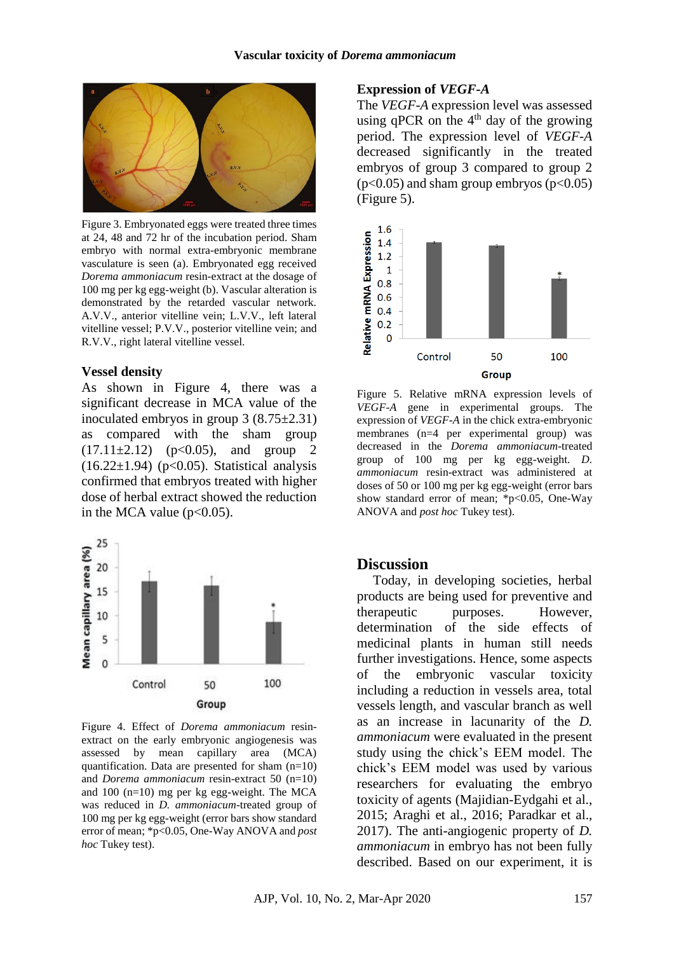

Figure 3. Embryonated eggs were treated three times at 24, 48 and 72 hr of the incubation period. Sham embryo with normal extra-embryonic membrane vasculature is seen (a). Embryonated egg received *Dorema ammoniacum* resin-extract at the dosage of 100 mg per kg egg-weight (b). Vascular alteration is demonstrated by the retarded vascular network. A.V.V., anterior vitelline vein; L.V.V., left lateral vitelline vessel; P.V.V., posterior vitelline vein; and R.V.V., right lateral vitelline vessel.

#### **Vessel density**

As shown in Figure 4, there was a significant decrease in MCA value of the inoculated embryos in group 3 (8.75±2.31) as compared with the sham group  $(17.11\pm2.12)$   $(p<0.05)$ , and group 2  $(16.22\pm1.94)$  (p<0.05). Statistical analysis confirmed that embryos treated with higher dose of herbal extract showed the reduction in the MCA value  $(p<0.05)$ .



Figure 4. Effect of *Dorema ammoniacum* resinextract on the early embryonic angiogenesis was assessed by mean capillary area (MCA) quantification. Data are presented for sham  $(n=10)$ and *Dorema ammoniacum* resin-extract 50 (n=10) and 100 (n=10) mg per kg egg-weight. The MCA was reduced in *D. ammoniacum*-treated group of 100 mg per kg egg-weight (error bars show standard error of mean; \*p<0.05, One-Way ANOVA and *post hoc* Tukey test).

#### **Expression of** *VEGF-A*

The *VEGF-A* expression level was assessed using qPCR on the  $4<sup>th</sup>$  day of the growing period. The expression level of *VEGF-A* decreased significantly in the treated embryos of group 3 compared to group 2  $(p<0.05)$  and sham group embryos  $(p<0.05)$ (Figure 5).



Figure 5. Relative mRNA expression levels of *VEGF-A* gene in experimental groups. The expression of *VEGF-A* in the chick extra-embryonic membranes (n=4 per experimental group) was decreased in the *Dorema ammoniacum*-treated group of 100 mg per kg egg-weight. *D. ammoniacum* resin-extract was administered at doses of 50 or 100 mg per kg egg-weight (error bars show standard error of mean; \*p<0.05, One-Way ANOVA and *post hoc* Tukey test).

### **Discussion**

Today, in developing societies, herbal products are being used for preventive and therapeutic purposes. However, determination of the side effects of medicinal plants in human still needs further investigations. Hence, some aspects of the embryonic vascular toxicity including a reduction in vessels area, total vessels length, and vascular branch as well as an increase in lacunarity of the *D. ammoniacum* were evaluated in the present study using the chick's EEM model. The chick's EEM model was used by various researchers for evaluating the embryo toxicity of agents [\(Majidian-Eydgahi et al.,](#page-7-18)  [2015;](#page-7-18) [Araghi et al., 2016;](#page-6-5) [Paradkar et al.,](#page-8-11)  [2017\)](#page-8-11). The anti-angiogenic property of *D. ammoniacum* in embryo has not been fully described. Based on our experiment, it is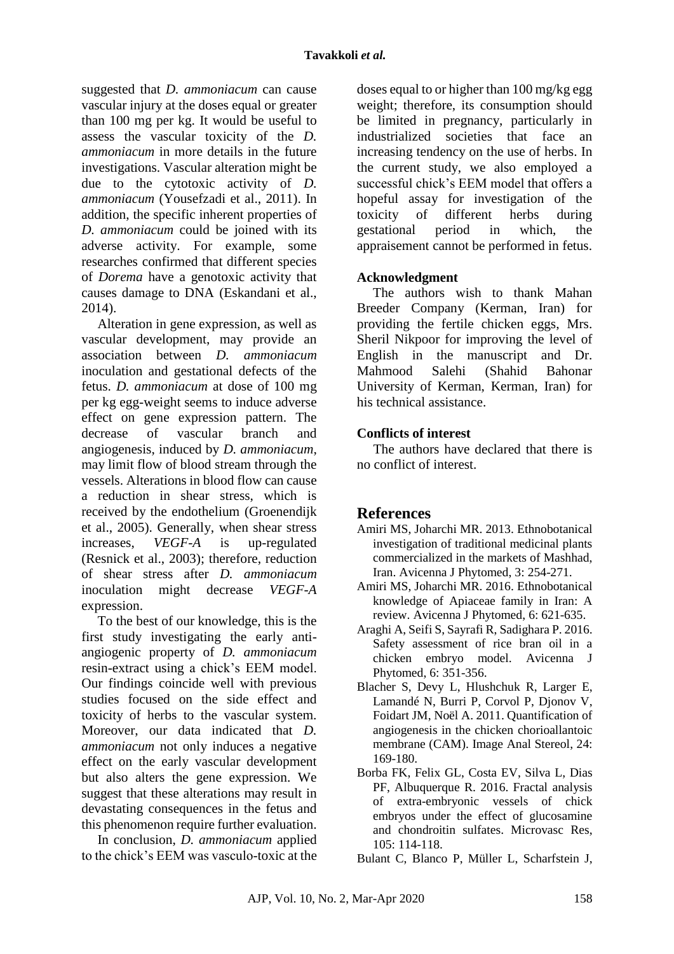suggested that *D. ammoniacum* can cause vascular injury at the doses equal or greater than 100 mg per kg. It would be useful to assess the vascular toxicity of the *D. ammoniacum* in more details in the future investigations. Vascular alteration might be due to the cytotoxic activity of *D. ammoniacum* [\(Yousefzadi et al., 2011\)](#page-8-12). In addition, the specific inherent properties of *D. ammoniacum* could be joined with its adverse activity. For example, some researches confirmed that different species of *Dorema* have a genotoxic activity that causes damage to DNA [\(Eskandani et al.,](#page-7-19)  [2014\)](#page-7-19).

Alteration in gene expression, as well as vascular development, may provide an association between *D. ammoniacum*  inoculation and gestational defects of the fetus. *D. ammoniacum* at dose of 100 mg per kg egg-weight seems to induce adverse effect on gene expression pattern. The decrease of vascular branch and angiogenesis, induced by *D. ammoniacum*, may limit flow of blood stream through the vessels. Alterations in blood flow can cause a reduction in shear stress, which is received by the endothelium [\(Groenendijk](#page-7-20)  [et al., 2005\)](#page-7-20). Generally, when shear stress increases, *VEGF-A* is up-regulated [\(Resnick et al., 2003\)](#page-8-13); therefore, reduction of shear stress after *D. ammoniacum*  inoculation might decrease *VEGF-A* expression.

To the best of our knowledge, this is the first study investigating the early antiangiogenic property of *D. ammoniacum* resin-extract using a chick's EEM model. Our findings coincide well with previous studies focused on the side effect and toxicity of herbs to the vascular system. Moreover, our data indicated that *D. ammoniacum* not only induces a negative effect on the early vascular development but also alters the gene expression. We suggest that these alterations may result in devastating consequences in the fetus and this phenomenon require further evaluation.

In conclusion, *D. ammoniacum* applied to the chick's EEM was vasculo-toxic at the

doses equal to or higher than 100 mg/kg egg weight; therefore, its consumption should be limited in pregnancy, particularly in industrialized societies that face an increasing tendency on the use of herbs. In the current study, we also employed a successful chick's EEM model that offers a hopeful assay for investigation of the toxicity of different herbs during gestational period in which, the appraisement cannot be performed in fetus.

## **Acknowledgment**

The authors wish to thank Mahan Breeder Company (Kerman, Iran) for providing the fertile chicken eggs, Mrs. Sheril Nikpoor for improving the level of English in the manuscript and Dr. Mahmood Salehi (Shahid Bahonar University of Kerman, Kerman, Iran) for his technical assistance.

### **Conflicts of interest**

The authors have declared that there is no conflict of interest.

## **References**

- <span id="page-6-0"></span>Amiri MS, Joharchi MR. 2013. Ethnobotanical investigation of traditional medicinal plants commercialized in the markets of Mashhad, Iran. Avicenna J Phytomed, 3: 254-271.
- <span id="page-6-1"></span>Amiri MS, Joharchi MR. 2016. Ethnobotanical knowledge of Apiaceae family in Iran: A review. Avicenna J Phytomed, 6: 621-635.
- <span id="page-6-5"></span>Araghi A, Seifi S, Sayrafi R, Sadighara P. 2016. Safety assessment of rice bran oil in a chicken embryo model. Avicenna J Phytomed, 6: 351-356.
- <span id="page-6-2"></span>Blacher S, Devy L, Hlushchuk R, Larger E, Lamandé N, Burri P, Corvol P, Djonov V, Foidart JM, Noël A. 2011. Quantification of angiogenesis in the chicken chorioallantoic membrane (CAM). Image Anal Stereol, 24: 169-180.
- <span id="page-6-3"></span>Borba FK, Felix GL, Costa EV, Silva L, Dias PF, Albuquerque R. 2016. Fractal analysis of extra-embryonic vessels of chick embryos under the effect of glucosamine and chondroitin sulfates. Microvasc Res, 105: 114-118.

<span id="page-6-4"></span>Bulant C, Blanco P, Müller L, Scharfstein J,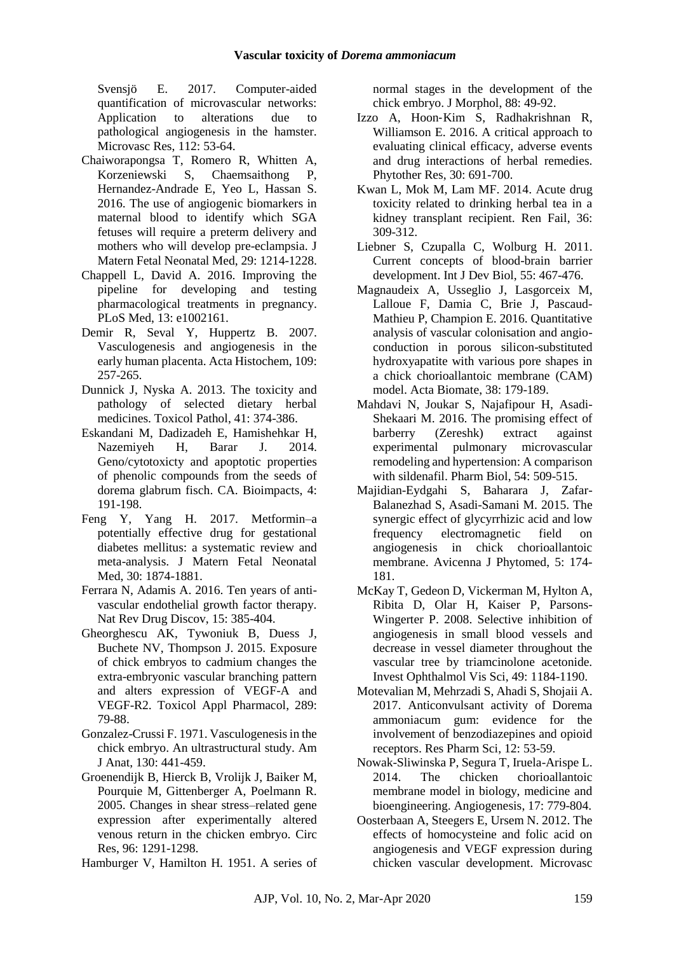Svensjö E. 2017. Computer-aided quantification of microvascular networks: Application to alterations due to pathological angiogenesis in the hamster. Microvasc Res, 112: 53-64.

- <span id="page-7-0"></span>Chaiworapongsa T, Romero R, Whitten A, Korzeniewski S, Chaemsaithong P, Hernandez-Andrade E, Yeo L, Hassan S. 2016. The use of angiogenic biomarkers in maternal blood to identify which SGA fetuses will require a preterm delivery and mothers who will develop pre-eclampsia. J Matern Fetal Neonatal Med, 29: 1214-1228.
- <span id="page-7-1"></span>Chappell L, David A. 2016. Improving the pipeline for developing and testing pharmacological treatments in pregnancy. PLoS Med, 13: e1002161.
- <span id="page-7-6"></span>Demir R, Seval Y, Huppertz B. 2007. Vasculogenesis and angiogenesis in the early human placenta. Acta Histochem, 109: 257-265.
- <span id="page-7-4"></span>Dunnick J, Nyska A. 2013. The toxicity and pathology of selected dietary herbal medicines. Toxicol Pathol, 41: 374-386.
- <span id="page-7-19"></span>Eskandani M, Dadizadeh E, Hamishehkar H, Nazemiyeh H, Barar J. 2014. Geno/cytotoxicty and apoptotic properties of phenolic compounds from the seeds of dorema glabrum fisch. CA. Bioimpacts, 4: 191-198.
- <span id="page-7-3"></span>Feng Y, Yang H. 2017. Metformin–a potentially effective drug for gestational diabetes mellitus: a systematic review and meta-analysis. J Matern Fetal Neonatal Med, 30: 1874-1881.
- <span id="page-7-8"></span>Ferrara N, Adamis A. 2016. Ten years of antivascular endothelial growth factor therapy. Nat Rev Drug Discov, 15: 385-404.
- <span id="page-7-14"></span>Gheorghescu AK, Tywoniuk B, Duess J, Buchete NV, Thompson J. 2015. Exposure of chick embryos to cadmium changes the extra-embryonic vascular branching pattern and alters expression of VEGF-A and VEGF-R2. Toxicol Appl Pharmacol, 289: 79-88.
- <span id="page-7-10"></span>Gonzalez-Crussi F. 1971. Vasculogenesis in the chick embryo. An ultrastructural study. Am J Anat, 130: 441-459.
- <span id="page-7-20"></span>Groenendijk B, Hierck B, Vrolijk J, Baiker M, Pourquie M, Gittenberger A, Poelmann R. 2005. Changes in shear stress–related gene expression after experimentally altered venous return in the chicken embryo. Circ Res, 96: 1291-1298.
- <span id="page-7-15"></span>Hamburger V, Hamilton H. 1951. A series of

normal stages in the development of the chick embryo. J Morphol, 88: 49-92.

- <span id="page-7-2"></span>Izzo A, Hoon‐Kim S, Radhakrishnan R, Williamson E. 2016. A critical approach to evaluating clinical efficacy, adverse events and drug interactions of herbal remedies. Phytother Res, 30: 691-700.
- <span id="page-7-5"></span>Kwan L, Mok M, Lam MF. 2014. Acute drug toxicity related to drinking herbal tea in a kidney transplant recipient. Ren Fail, 36: 309-312.
- <span id="page-7-7"></span>Liebner S, Czupalla C, Wolburg H. 2011. Current concepts of blood-brain barrier development. Int J Dev Biol, 55: 467-476.
- <span id="page-7-16"></span>Magnaudeix A, Usseglio J, Lasgorceix M, Lalloue F, Damia C, Brie J, Pascaud-Mathieu P, Champion E. 2016. Quantitative analysis of vascular colonisation and angioconduction in porous silicon-substituted hydroxyapatite with various pore shapes in a chick chorioallantoic membrane (CAM) model. Acta Biomate, 38: 179-189.
- <span id="page-7-11"></span>Mahdavi N, Joukar S, Najafipour H, Asadi-Shekaari M. 2016. The promising effect of barberry (Zereshk) extract against experimental pulmonary microvascular remodeling and hypertension: A comparison with sildenafil. Pharm Biol, 54: 509-515.
- <span id="page-7-18"></span>Majidian-Eydgahi S, Baharara J, Zafar-Balanezhad S, Asadi-Samani M. 2015. The synergic effect of glycyrrhizic acid and low frequency electromagnetic field on angiogenesis in chick chorioallantoic membrane. Avicenna J Phytomed, 5: 174- 181.
- <span id="page-7-17"></span>McKay T, Gedeon D, Vickerman M, Hylton A, Ribita D, Olar H, Kaiser P, Parsons-Wingerter P. 2008. Selective inhibition of angiogenesis in small blood vessels and decrease in vessel diameter throughout the vascular tree by triamcinolone acetonide. Invest Ophthalmol Vis Sci, 49: 1184-1190.
- <span id="page-7-12"></span>Motevalian M, Mehrzadi S, Ahadi S, Shojaii A. 2017. Anticonvulsant activity of Dorema ammoniacum gum: evidence for the involvement of benzodiazepines and opioid receptors. Res Pharm Sci, 12: 53-59.
- <span id="page-7-9"></span>Nowak-Sliwinska P, Segura T, Iruela-Arispe L. 2014. The chicken chorioallantoic membrane model in biology, medicine and bioengineering. Angiogenesis, 17: 779-804.
- <span id="page-7-13"></span>Oosterbaan A, Steegers E, Ursem N. 2012. The effects of homocysteine and folic acid on angiogenesis and VEGF expression during chicken vascular development. Microvasc